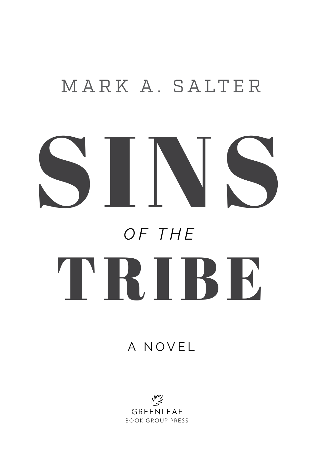## MARK A. SALTER

# SINS TRIBE *OF THE*

#### A NOVEL

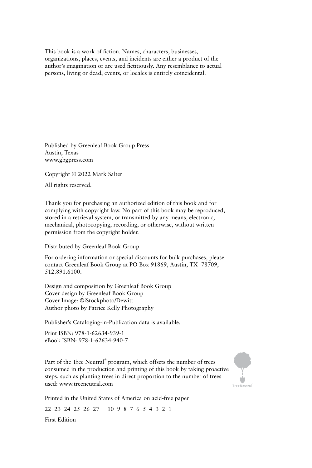This book is a work of fiction. Names, characters, businesses, organizations, places, events, and incidents are either a product of the author's imagination or are used fictitiously. Any resemblance to actual persons, living or dead, events, or locales is entirely coincidental.

Published by Greenleaf Book Group Press Austin, Texas www.gbgpress.com

Copyright © 2022 Mark Salter

All rights reserved.

Thank you for purchasing an authorized edition of this book and for complying with copyright law. No part of this book may be reproduced, stored in a retrieval system, or transmitted by any means, electronic, mechanical, photocopying, recording, or otherwise, without written permission from the copyright holder.

Distributed by Greenleaf Book Group

For ordering information or special discounts for bulk purchases, please contact Greenleaf Book Group at PO Box 91869, Austin, TX 78709, 512.891.6100.

Design and composition by Greenleaf Book Group Cover design by Greenleaf Book Group Cover Image: ©iStockphoto/Dewitt Author photo by Patrice Kelly Photography

Publisher's Cataloging-in-Publication data is available.

Print ISBN: 978-1-62634-939-1 eBook ISBN: 978-1-62634-940-7

Part of the Tree Neutral® program, which offsets the number of trees consumed in the production and printing of this book by taking proactive steps, such as planting trees in direct proportion to the number of trees used: www.treeneutral.com



Printed in the United States of America on acid-free paper

22 23 24 25 26 27 10 9 8 7 6 5 4 3 2 1

First Edition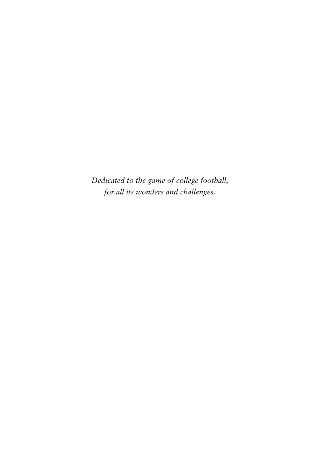*Dedicated to the game of college football, for all its wonders and challenges.*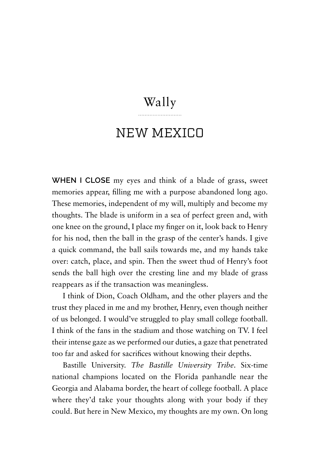#### Wally

#### NEW MEXICO

**WHEN I CLOSE** my eyes and think of a blade of grass, sweet memories appear, filling me with a purpose abandoned long ago. These memories, independent of my will, multiply and become my thoughts. The blade is uniform in a sea of perfect green and, with one knee on the ground, I place my finger on it, look back to Henry for his nod, then the ball in the grasp of the center's hands. I give a quick command, the ball sails towards me, and my hands take over: catch, place, and spin. Then the sweet thud of Henry's foot sends the ball high over the cresting line and my blade of grass reappears as if the transaction was meaningless.

I think of Dion, Coach Oldham, and the other players and the trust they placed in me and my brother, Henry, even though neither of us belonged. I would've struggled to play small college football. I think of the fans in the stadium and those watching on TV. I feel their intense gaze as we performed our duties, a gaze that penetrated too far and asked for sacrifices without knowing their depths.

Bastille University. *The Bastille University Tribe*. Six-time national champions located on the Florida panhandle near the Georgia and Alabama border, the heart of college football. A place where they'd take your thoughts along with your body if they could. But here in New Mexico, my thoughts are my own. On long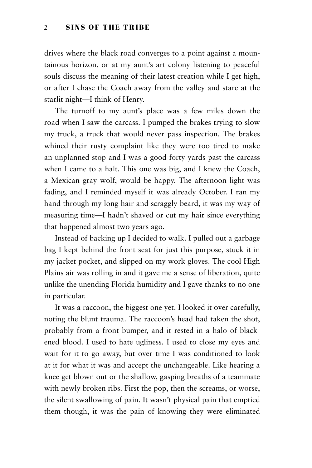drives where the black road converges to a point against a mountainous horizon, or at my aunt's art colony listening to peaceful souls discuss the meaning of their latest creation while I get high, or after I chase the Coach away from the valley and stare at the starlit night—I think of Henry.

The turnoff to my aunt's place was a few miles down the road when I saw the carcass. I pumped the brakes trying to slow my truck, a truck that would never pass inspection. The brakes whined their rusty complaint like they were too tired to make an unplanned stop and I was a good forty yards past the carcass when I came to a halt. This one was big, and I knew the Coach, a Mexican gray wolf, would be happy. The afternoon light was fading, and I reminded myself it was already October. I ran my hand through my long hair and scraggly beard, it was my way of measuring time—I hadn't shaved or cut my hair since everything that happened almost two years ago.

Instead of backing up I decided to walk. I pulled out a garbage bag I kept behind the front seat for just this purpose, stuck it in my jacket pocket, and slipped on my work gloves. The cool High Plains air was rolling in and it gave me a sense of liberation, quite unlike the unending Florida humidity and I gave thanks to no one in particular.

It was a raccoon, the biggest one yet. I looked it over carefully, noting the blunt trauma. The raccoon's head had taken the shot, probably from a front bumper, and it rested in a halo of blackened blood. I used to hate ugliness. I used to close my eyes and wait for it to go away, but over time I was conditioned to look at it for what it was and accept the unchangeable. Like hearing a knee get blown out or the shallow, gasping breaths of a teammate with newly broken ribs. First the pop, then the screams, or worse, the silent swallowing of pain. It wasn't physical pain that emptied them though, it was the pain of knowing they were eliminated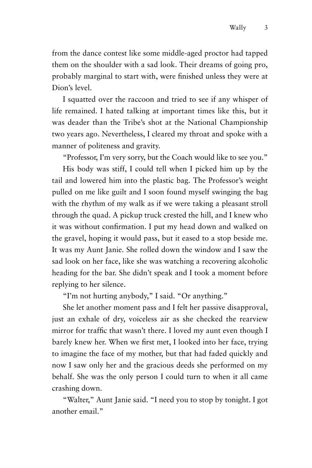from the dance contest like some middle-aged proctor had tapped them on the shoulder with a sad look. Their dreams of going pro, probably marginal to start with, were finished unless they were at Dion's level.

I squatted over the raccoon and tried to see if any whisper of life remained. I hated talking at important times like this, but it was deader than the Tribe's shot at the National Championship two years ago. Nevertheless, I cleared my throat and spoke with a manner of politeness and gravity.

"Professor, I'm very sorry, but the Coach would like to see you."

His body was stiff, I could tell when I picked him up by the tail and lowered him into the plastic bag. The Professor's weight pulled on me like guilt and I soon found myself swinging the bag with the rhythm of my walk as if we were taking a pleasant stroll through the quad. A pickup truck crested the hill, and I knew who it was without confirmation. I put my head down and walked on the gravel, hoping it would pass, but it eased to a stop beside me. It was my Aunt Janie. She rolled down the window and I saw the sad look on her face, like she was watching a recovering alcoholic heading for the bar. She didn't speak and I took a moment before replying to her silence.

"I'm not hurting anybody," I said. "Or anything."

She let another moment pass and I felt her passive disapproval, just an exhale of dry, voiceless air as she checked the rearview mirror for traffic that wasn't there. I loved my aunt even though I barely knew her. When we first met, I looked into her face, trying to imagine the face of my mother, but that had faded quickly and now I saw only her and the gracious deeds she performed on my behalf. She was the only person I could turn to when it all came crashing down.

"Walter," Aunt Janie said. "I need you to stop by tonight. I got another email."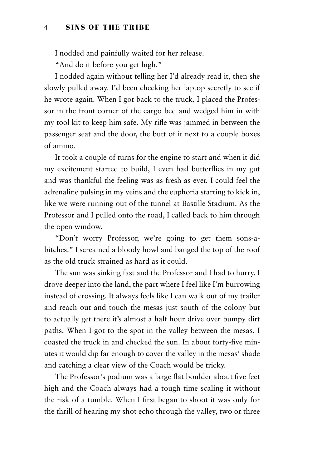I nodded and painfully waited for her release.

"And do it before you get high."

I nodded again without telling her I'd already read it, then she slowly pulled away. I'd been checking her laptop secretly to see if he wrote again. When I got back to the truck, I placed the Professor in the front corner of the cargo bed and wedged him in with my tool kit to keep him safe. My rifle was jammed in between the passenger seat and the door, the butt of it next to a couple boxes of ammo.

It took a couple of turns for the engine to start and when it did my excitement started to build, I even had butterflies in my gut and was thankful the feeling was as fresh as ever. I could feel the adrenaline pulsing in my veins and the euphoria starting to kick in, like we were running out of the tunnel at Bastille Stadium. As the Professor and I pulled onto the road, I called back to him through the open window.

"Don't worry Professor, we're going to get them sons-abitches." I screamed a bloody howl and banged the top of the roof as the old truck strained as hard as it could.

The sun was sinking fast and the Professor and I had to hurry. I drove deeper into the land, the part where I feel like I'm burrowing instead of crossing. It always feels like I can walk out of my trailer and reach out and touch the mesas just south of the colony but to actually get there it's almost a half hour drive over bumpy dirt paths. When I got to the spot in the valley between the mesas, I coasted the truck in and checked the sun. In about forty-five minutes it would dip far enough to cover the valley in the mesas' shade and catching a clear view of the Coach would be tricky.

The Professor's podium was a large flat boulder about five feet high and the Coach always had a tough time scaling it without the risk of a tumble. When I first began to shoot it was only for the thrill of hearing my shot echo through the valley, two or three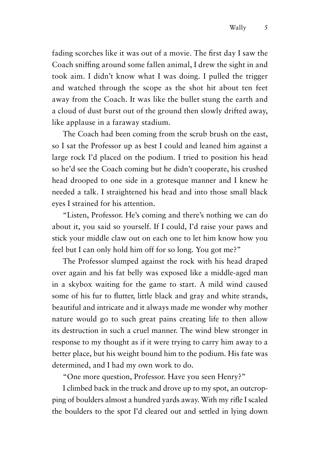fading scorches like it was out of a movie. The first day I saw the Coach sniffing around some fallen animal, I drew the sight in and took aim. I didn't know what I was doing. I pulled the trigger and watched through the scope as the shot hit about ten feet away from the Coach. It was like the bullet stung the earth and a cloud of dust burst out of the ground then slowly drifted away, like applause in a faraway stadium.

The Coach had been coming from the scrub brush on the east, so I sat the Professor up as best I could and leaned him against a large rock I'd placed on the podium. I tried to position his head so he'd see the Coach coming but he didn't cooperate, his crushed head drooped to one side in a grotesque manner and I knew he needed a talk. I straightened his head and into those small black eyes I strained for his attention.

"Listen, Professor. He's coming and there's nothing we can do about it, you said so yourself. If I could, I'd raise your paws and stick your middle claw out on each one to let him know how you feel but I can only hold him off for so long. You got me?"

The Professor slumped against the rock with his head draped over again and his fat belly was exposed like a middle-aged man in a skybox waiting for the game to start. A mild wind caused some of his fur to flutter, little black and gray and white strands, beautiful and intricate and it always made me wonder why mother nature would go to such great pains creating life to then allow its destruction in such a cruel manner. The wind blew stronger in response to my thought as if it were trying to carry him away to a better place, but his weight bound him to the podium. His fate was determined, and I had my own work to do.

"One more question, Professor. Have you seen Henry?"

I climbed back in the truck and drove up to my spot, an outcropping of boulders almost a hundred yards away. With my rifle I scaled the boulders to the spot I'd cleared out and settled in lying down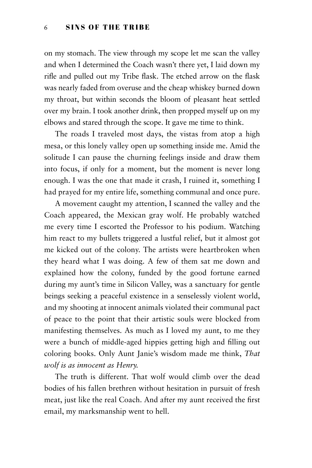on my stomach. The view through my scope let me scan the valley and when I determined the Coach wasn't there yet, I laid down my rifle and pulled out my Tribe flask. The etched arrow on the flask was nearly faded from overuse and the cheap whiskey burned down my throat, but within seconds the bloom of pleasant heat settled over my brain. I took another drink, then propped myself up on my elbows and stared through the scope. It gave me time to think.

The roads I traveled most days, the vistas from atop a high mesa, or this lonely valley open up something inside me. Amid the solitude I can pause the churning feelings inside and draw them into focus, if only for a moment, but the moment is never long enough. I was the one that made it crash, I ruined it, something I had prayed for my entire life, something communal and once pure.

A movement caught my attention, I scanned the valley and the Coach appeared, the Mexican gray wolf. He probably watched me every time I escorted the Professor to his podium. Watching him react to my bullets triggered a lustful relief, but it almost got me kicked out of the colony. The artists were heartbroken when they heard what I was doing. A few of them sat me down and explained how the colony, funded by the good fortune earned during my aunt's time in Silicon Valley, was a sanctuary for gentle beings seeking a peaceful existence in a senselessly violent world, and my shooting at innocent animals violated their communal pact of peace to the point that their artistic souls were blocked from manifesting themselves. As much as I loved my aunt, to me they were a bunch of middle-aged hippies getting high and filling out coloring books. Only Aunt Janie's wisdom made me think, *That wolf is as innocent as Henry.*

The truth is different. That wolf would climb over the dead bodies of his fallen brethren without hesitation in pursuit of fresh meat, just like the real Coach. And after my aunt received the first email, my marksmanship went to hell.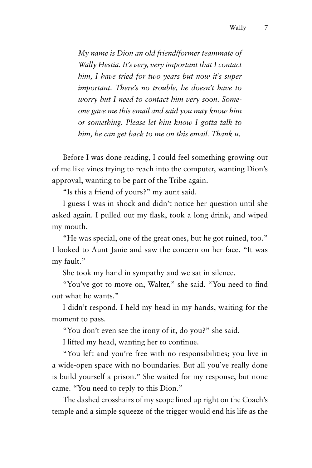*My name is Dion an old friend/former teammate of Wally Hestia. It's very, very important that I contact him, I have tried for two years but now it's super important. There's no trouble, he doesn't have to worry but I need to contact him very soon. Someone gave me this email and said you may know him or something. Please let him know I gotta talk to him, he can get back to me on this email. Thank u.*

Before I was done reading, I could feel something growing out of me like vines trying to reach into the computer, wanting Dion's approval, wanting to be part of the Tribe again.

"Is this a friend of yours?" my aunt said.

I guess I was in shock and didn't notice her question until she asked again. I pulled out my flask, took a long drink, and wiped my mouth.

"He was special, one of the great ones, but he got ruined, too." I looked to Aunt Janie and saw the concern on her face. "It was my fault."

She took my hand in sympathy and we sat in silence.

"You've got to move on, Walter," she said. "You need to find out what he wants."

I didn't respond. I held my head in my hands, waiting for the moment to pass.

"You don't even see the irony of it, do you?" she said.

I lifted my head, wanting her to continue.

"You left and you're free with no responsibilities; you live in a wide-open space with no boundaries. But all you've really done is build yourself a prison." She waited for my response, but none came. "You need to reply to this Dion."

The dashed crosshairs of my scope lined up right on the Coach's temple and a simple squeeze of the trigger would end his life as the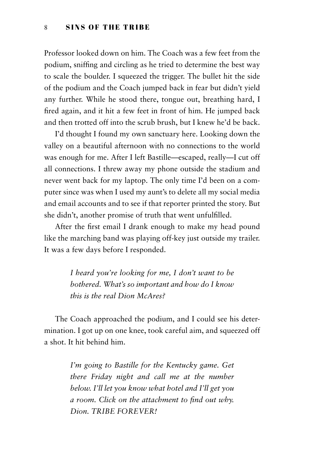Professor looked down on him. The Coach was a few feet from the podium, sniffing and circling as he tried to determine the best way to scale the boulder. I squeezed the trigger. The bullet hit the side of the podium and the Coach jumped back in fear but didn't yield any further. While he stood there, tongue out, breathing hard, I fired again, and it hit a few feet in front of him. He jumped back and then trotted off into the scrub brush, but I knew he'd be back.

I'd thought I found my own sanctuary here. Looking down the valley on a beautiful afternoon with no connections to the world was enough for me. After I left Bastille—escaped, really—I cut off all connections. I threw away my phone outside the stadium and never went back for my laptop. The only time I'd been on a computer since was when I used my aunt's to delete all my social media and email accounts and to see if that reporter printed the story. But she didn't, another promise of truth that went unfulfilled.

After the first email I drank enough to make my head pound like the marching band was playing off-key just outside my trailer. It was a few days before I responded.

> *I heard you're looking for me, I don't want to be bothered. What's so important and how do I know this is the real Dion McAres?*

The Coach approached the podium, and I could see his determination. I got up on one knee, took careful aim, and squeezed off a shot. It hit behind him.

> *I'm going to Bastille for the Kentucky game. Get there Friday night and call me at the number below. I'll let you know what hotel and I'll get you a room. Click on the attachment to find out why. Dion. TRIBE FOREVER!*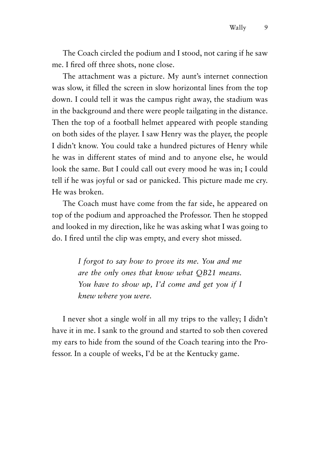The Coach circled the podium and I stood, not caring if he saw me. I fired off three shots, none close.

The attachment was a picture. My aunt's internet connection was slow, it filled the screen in slow horizontal lines from the top down. I could tell it was the campus right away, the stadium was in the background and there were people tailgating in the distance. Then the top of a football helmet appeared with people standing on both sides of the player. I saw Henry was the player, the people I didn't know. You could take a hundred pictures of Henry while he was in different states of mind and to anyone else, he would look the same. But I could call out every mood he was in; I could tell if he was joyful or sad or panicked. This picture made me cry. He was broken.

The Coach must have come from the far side, he appeared on top of the podium and approached the Professor. Then he stopped and looked in my direction, like he was asking what I was going to do. I fired until the clip was empty, and every shot missed.

> *I forgot to say how to prove its me. You and me are the only ones that know what QB21 means. You have to show up, I'd come and get you if I knew where you were.*

I never shot a single wolf in all my trips to the valley; I didn't have it in me. I sank to the ground and started to sob then covered my ears to hide from the sound of the Coach tearing into the Professor. In a couple of weeks, I'd be at the Kentucky game.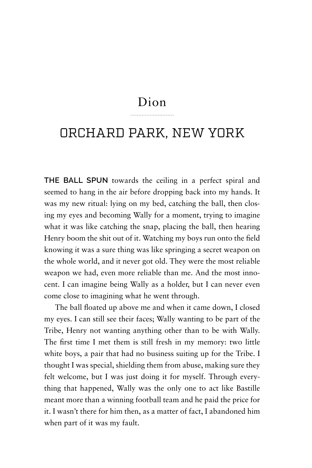#### Dion

#### ORCHARD PARK, NEW YORK

**THE BALL SPUN** towards the ceiling in a perfect spiral and seemed to hang in the air before dropping back into my hands. It was my new ritual: lying on my bed, catching the ball, then closing my eyes and becoming Wally for a moment, trying to imagine what it was like catching the snap, placing the ball, then hearing Henry boom the shit out of it. Watching my boys run onto the field knowing it was a sure thing was like springing a secret weapon on the whole world, and it never got old. They were the most reliable weapon we had, even more reliable than me. And the most innocent. I can imagine being Wally as a holder, but I can never even come close to imagining what he went through.

The ball floated up above me and when it came down, I closed my eyes. I can still see their faces; Wally wanting to be part of the Tribe, Henry not wanting anything other than to be with Wally. The first time I met them is still fresh in my memory: two little white boys, a pair that had no business suiting up for the Tribe. I thought I was special, shielding them from abuse, making sure they felt welcome, but I was just doing it for myself. Through everything that happened, Wally was the only one to act like Bastille meant more than a winning football team and he paid the price for it. I wasn't there for him then, as a matter of fact, I abandoned him when part of it was my fault.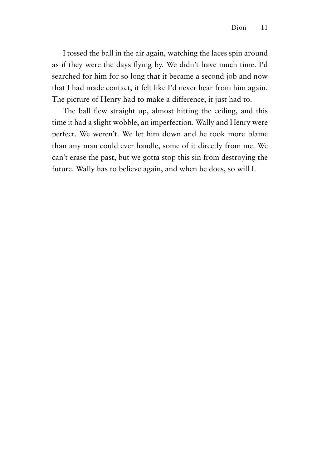I tossed the ball in the air again, watching the laces spin around as if they were the days flying by. We didn't have much time. I'd searched for him for so long that it became a second job and now that I had made contact, it felt like I'd never hear from him again. The picture of Henry had to make a difference, it just had to.

The ball flew straight up, almost hitting the ceiling, and this time it had a slight wobble, an imperfection. Wally and Henry were perfect. We weren't. We let him down and he took more blame than any man could ever handle, some of it directly from me. We can't erase the past, but we gotta stop this sin from destroying the future. Wally has to believe again, and when he does, so will I.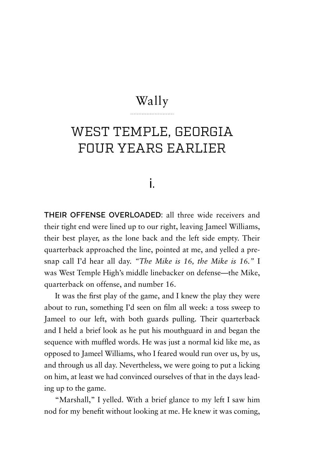#### Wally

### WEST TEMPLE, GEORGIA FOUR YEARS EARLIER

#### i.

**THEIR OFFENSE OVERLOADED:** all three wide receivers and their tight end were lined up to our right, leaving Jameel Williams, their best player, as the lone back and the left side empty. Their quarterback approached the line, pointed at me, and yelled a presnap call I'd hear all day. *"The Mike is 16, the Mike is 16."* I was West Temple High's middle linebacker on defense—the Mike, quarterback on offense, and number 16.

It was the first play of the game, and I knew the play they were about to run, something I'd seen on film all week: a toss sweep to Jameel to our left, with both guards pulling. Their quarterback and I held a brief look as he put his mouthguard in and began the sequence with muffled words. He was just a normal kid like me, as opposed to Jameel Williams, who I feared would run over us, by us, and through us all day. Nevertheless, we were going to put a licking on him, at least we had convinced ourselves of that in the days leading up to the game.

"Marshall," I yelled. With a brief glance to my left I saw him nod for my benefit without looking at me. He knew it was coming,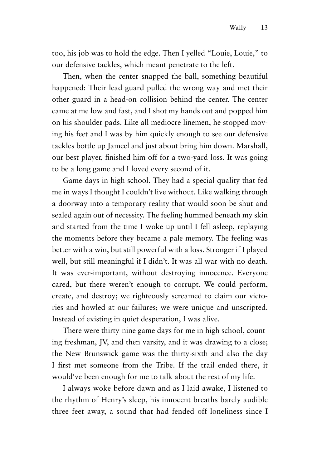too, his job was to hold the edge. Then I yelled "Louie, Louie," to our defensive tackles, which meant penetrate to the left.

Then, when the center snapped the ball, something beautiful happened: Their lead guard pulled the wrong way and met their other guard in a head-on collision behind the center. The center came at me low and fast, and I shot my hands out and popped him on his shoulder pads. Like all mediocre linemen, he stopped moving his feet and I was by him quickly enough to see our defensive tackles bottle up Jameel and just about bring him down. Marshall, our best player, finished him off for a two-yard loss. It was going to be a long game and I loved every second of it.

Game days in high school. They had a special quality that fed me in ways I thought I couldn't live without. Like walking through a doorway into a temporary reality that would soon be shut and sealed again out of necessity. The feeling hummed beneath my skin and started from the time I woke up until I fell asleep, replaying the moments before they became a pale memory. The feeling was better with a win, but still powerful with a loss. Stronger if I played well, but still meaningful if I didn't. It was all war with no death. It was ever-important, without destroying innocence. Everyone cared, but there weren't enough to corrupt. We could perform, create, and destroy; we righteously screamed to claim our victories and howled at our failures; we were unique and unscripted. Instead of existing in quiet desperation, I was alive.

There were thirty-nine game days for me in high school, counting freshman, JV, and then varsity, and it was drawing to a close; the New Brunswick game was the thirty-sixth and also the day I first met someone from the Tribe. If the trail ended there, it would've been enough for me to talk about the rest of my life.

I always woke before dawn and as I laid awake, I listened to the rhythm of Henry's sleep, his innocent breaths barely audible three feet away, a sound that had fended off loneliness since I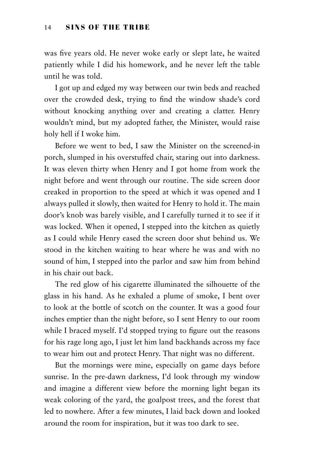was five years old. He never woke early or slept late, he waited patiently while I did his homework, and he never left the table until he was told.

I got up and edged my way between our twin beds and reached over the crowded desk, trying to find the window shade's cord without knocking anything over and creating a clatter. Henry wouldn't mind, but my adopted father, the Minister, would raise holy hell if I woke him.

Before we went to bed, I saw the Minister on the screened-in porch, slumped in his overstuffed chair, staring out into darkness. It was eleven thirty when Henry and I got home from work the night before and went through our routine. The side screen door creaked in proportion to the speed at which it was opened and I always pulled it slowly, then waited for Henry to hold it. The main door's knob was barely visible, and I carefully turned it to see if it was locked. When it opened, I stepped into the kitchen as quietly as I could while Henry eased the screen door shut behind us. We stood in the kitchen waiting to hear where he was and with no sound of him, I stepped into the parlor and saw him from behind in his chair out back.

The red glow of his cigarette illuminated the silhouette of the glass in his hand. As he exhaled a plume of smoke, I bent over to look at the bottle of scotch on the counter. It was a good four inches emptier than the night before, so I sent Henry to our room while I braced myself. I'd stopped trying to figure out the reasons for his rage long ago, I just let him land backhands across my face to wear him out and protect Henry. That night was no different.

But the mornings were mine, especially on game days before sunrise. In the pre-dawn darkness, I'd look through my window and imagine a different view before the morning light began its weak coloring of the yard, the goalpost trees, and the forest that led to nowhere. After a few minutes, I laid back down and looked around the room for inspiration, but it was too dark to see.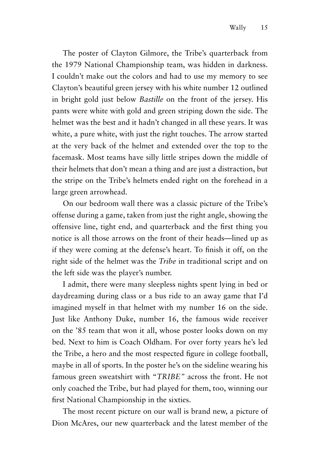The poster of Clayton Gilmore, the Tribe's quarterback from the 1979 National Championship team, was hidden in darkness. I couldn't make out the colors and had to use my memory to see Clayton's beautiful green jersey with his white number 12 outlined in bright gold just below *Bastille* on the front of the jersey. His pants were white with gold and green striping down the side. The helmet was the best and it hadn't changed in all these years. It was white, a pure white, with just the right touches. The arrow started at the very back of the helmet and extended over the top to the facemask. Most teams have silly little stripes down the middle of their helmets that don't mean a thing and are just a distraction, but the stripe on the Tribe's helmets ended right on the forehead in a large green arrowhead.

On our bedroom wall there was a classic picture of the Tribe's offense during a game, taken from just the right angle, showing the offensive line, tight end, and quarterback and the first thing you notice is all those arrows on the front of their heads—lined up as if they were coming at the defense's heart. To finish it off, on the right side of the helmet was the *Tribe* in traditional script and on the left side was the player's number.

I admit, there were many sleepless nights spent lying in bed or daydreaming during class or a bus ride to an away game that I'd imagined myself in that helmet with my number 16 on the side. Just like Anthony Duke, number 16, the famous wide receiver on the '85 team that won it all, whose poster looks down on my bed. Next to him is Coach Oldham. For over forty years he's led the Tribe, a hero and the most respected figure in college football, maybe in all of sports. In the poster he's on the sideline wearing his famous green sweatshirt with "*TRIBE"* across the front. He not only coached the Tribe, but had played for them, too, winning our first National Championship in the sixties.

The most recent picture on our wall is brand new, a picture of Dion McAres, our new quarterback and the latest member of the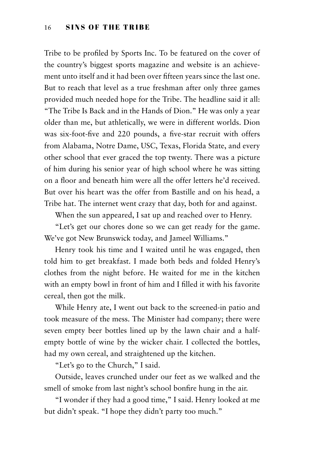Tribe to be profiled by Sports Inc. To be featured on the cover of the country's biggest sports magazine and website is an achievement unto itself and it had been over fifteen years since the last one. But to reach that level as a true freshman after only three games provided much needed hope for the Tribe. The headline said it all: "The Tribe Is Back and in the Hands of Dion." He was only a year older than me, but athletically, we were in different worlds. Dion was six-foot-five and 220 pounds, a five-star recruit with offers from Alabama, Notre Dame, USC, Texas, Florida State, and every other school that ever graced the top twenty. There was a picture of him during his senior year of high school where he was sitting on a floor and beneath him were all the offer letters he'd received. But over his heart was the offer from Bastille and on his head, a Tribe hat. The internet went crazy that day, both for and against.

When the sun appeared, I sat up and reached over to Henry.

"Let's get our chores done so we can get ready for the game. We've got New Brunswick today, and Jameel Williams."

Henry took his time and I waited until he was engaged, then told him to get breakfast. I made both beds and folded Henry's clothes from the night before. He waited for me in the kitchen with an empty bowl in front of him and I filled it with his favorite cereal, then got the milk.

While Henry ate, I went out back to the screened-in patio and took measure of the mess. The Minister had company; there were seven empty beer bottles lined up by the lawn chair and a halfempty bottle of wine by the wicker chair. I collected the bottles, had my own cereal, and straightened up the kitchen.

"Let's go to the Church," I said.

Outside, leaves crunched under our feet as we walked and the smell of smoke from last night's school bonfire hung in the air.

"I wonder if they had a good time," I said. Henry looked at me but didn't speak. "I hope they didn't party too much."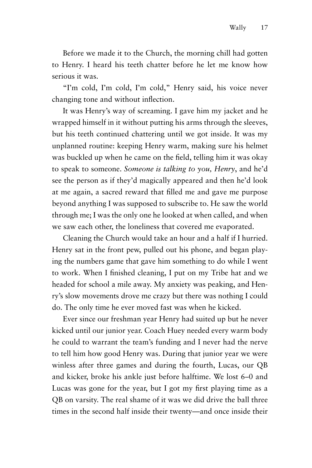Before we made it to the Church, the morning chill had gotten to Henry. I heard his teeth chatter before he let me know how serious it was.

"I'm cold, I'm cold, I'm cold," Henry said, his voice never changing tone and without inflection.

It was Henry's way of screaming. I gave him my jacket and he wrapped himself in it without putting his arms through the sleeves, but his teeth continued chattering until we got inside. It was my unplanned routine: keeping Henry warm, making sure his helmet was buckled up when he came on the field, telling him it was okay to speak to someone. *Someone is talking to you, Henry*, and he'd see the person as if they'd magically appeared and then he'd look at me again, a sacred reward that filled me and gave me purpose beyond anything I was supposed to subscribe to. He saw the world through me; I was the only one he looked at when called, and when we saw each other, the loneliness that covered me evaporated.

Cleaning the Church would take an hour and a half if I hurried. Henry sat in the front pew, pulled out his phone, and began playing the numbers game that gave him something to do while I went to work. When I finished cleaning, I put on my Tribe hat and we headed for school a mile away. My anxiety was peaking, and Henry's slow movements drove me crazy but there was nothing I could do. The only time he ever moved fast was when he kicked.

Ever since our freshman year Henry had suited up but he never kicked until our junior year. Coach Huey needed every warm body he could to warrant the team's funding and I never had the nerve to tell him how good Henry was. During that junior year we were winless after three games and during the fourth, Lucas, our QB and kicker, broke his ankle just before halftime. We lost 6–0 and Lucas was gone for the year, but I got my first playing time as a QB on varsity. The real shame of it was we did drive the ball three times in the second half inside their twenty—and once inside their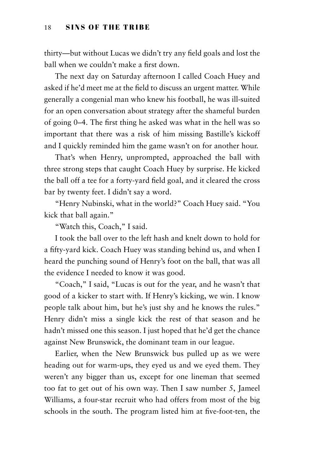thirty—but without Lucas we didn't try any field goals and lost the ball when we couldn't make a first down.

The next day on Saturday afternoon I called Coach Huey and asked if he'd meet me at the field to discuss an urgent matter. While generally a congenial man who knew his football, he was ill-suited for an open conversation about strategy after the shameful burden of going 0–4. The first thing he asked was what in the hell was so important that there was a risk of him missing Bastille's kickoff and I quickly reminded him the game wasn't on for another hour.

That's when Henry, unprompted, approached the ball with three strong steps that caught Coach Huey by surprise. He kicked the ball off a tee for a forty-yard field goal, and it cleared the cross bar by twenty feet. I didn't say a word.

"Henry Nubinski, what in the world?" Coach Huey said. "You kick that ball again."

"Watch this, Coach," I said.

I took the ball over to the left hash and knelt down to hold for a fifty-yard kick. Coach Huey was standing behind us, and when I heard the punching sound of Henry's foot on the ball, that was all the evidence I needed to know it was good.

"Coach," I said, "Lucas is out for the year, and he wasn't that good of a kicker to start with. If Henry's kicking, we win. I know people talk about him, but he's just shy and he knows the rules." Henry didn't miss a single kick the rest of that season and he hadn't missed one this season. I just hoped that he'd get the chance against New Brunswick, the dominant team in our league.

Earlier, when the New Brunswick bus pulled up as we were heading out for warm-ups, they eyed us and we eyed them. They weren't any bigger than us, except for one lineman that seemed too fat to get out of his own way. Then I saw number 5, Jameel Williams, a four-star recruit who had offers from most of the big schools in the south. The program listed him at five-foot-ten, the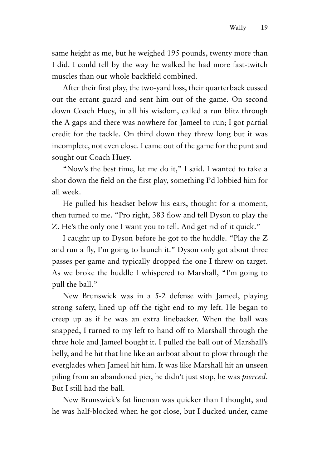same height as me, but he weighed 195 pounds, twenty more than I did. I could tell by the way he walked he had more fast-twitch muscles than our whole backfield combined.

After their first play, the two-yard loss, their quarterback cussed out the errant guard and sent him out of the game. On second down Coach Huey, in all his wisdom, called a run blitz through the A gaps and there was nowhere for Jameel to run; I got partial credit for the tackle. On third down they threw long but it was incomplete, not even close. I came out of the game for the punt and sought out Coach Huey.

"Now's the best time, let me do it," I said. I wanted to take a shot down the field on the first play, something I'd lobbied him for all week.

He pulled his headset below his ears, thought for a moment, then turned to me. "Pro right, 383 flow and tell Dyson to play the Z. He's the only one I want you to tell. And get rid of it quick."

I caught up to Dyson before he got to the huddle. "Play the Z and run a fly, I'm going to launch it." Dyson only got about three passes per game and typically dropped the one I threw on target. As we broke the huddle I whispered to Marshall, "I'm going to pull the ball."

New Brunswick was in a 5-2 defense with Jameel, playing strong safety, lined up off the tight end to my left. He began to creep up as if he was an extra linebacker. When the ball was snapped, I turned to my left to hand off to Marshall through the three hole and Jameel bought it. I pulled the ball out of Marshall's belly, and he hit that line like an airboat about to plow through the everglades when Jameel hit him. It was like Marshall hit an unseen piling from an abandoned pier, he didn't just stop, he was *pierced*. But I still had the ball.

New Brunswick's fat lineman was quicker than I thought, and he was half-blocked when he got close, but I ducked under, came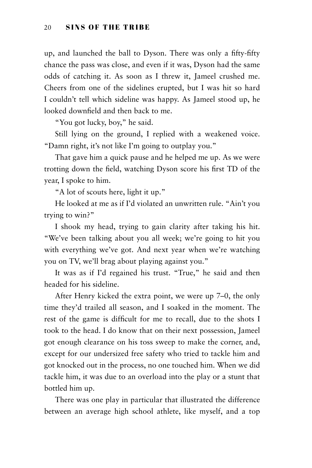up, and launched the ball to Dyson. There was only a fifty-fifty chance the pass was close, and even if it was, Dyson had the same odds of catching it. As soon as I threw it, Jameel crushed me. Cheers from one of the sidelines erupted, but I was hit so hard I couldn't tell which sideline was happy. As Jameel stood up, he looked downfield and then back to me.

"You got lucky, boy," he said.

Still lying on the ground, I replied with a weakened voice. "Damn right, it's not like I'm going to outplay you."

That gave him a quick pause and he helped me up. As we were trotting down the field, watching Dyson score his first TD of the year, I spoke to him.

"A lot of scouts here, light it up."

He looked at me as if I'd violated an unwritten rule. "Ain't you trying to win?"

I shook my head, trying to gain clarity after taking his hit. "We've been talking about you all week; we're going to hit you with everything we've got. And next year when we're watching you on TV, we'll brag about playing against you."

It was as if I'd regained his trust. "True," he said and then headed for his sideline.

After Henry kicked the extra point, we were up 7–0, the only time they'd trailed all season, and I soaked in the moment. The rest of the game is difficult for me to recall, due to the shots I took to the head. I do know that on their next possession, Jameel got enough clearance on his toss sweep to make the corner, and, except for our undersized free safety who tried to tackle him and got knocked out in the process, no one touched him. When we did tackle him, it was due to an overload into the play or a stunt that bottled him up.

There was one play in particular that illustrated the difference between an average high school athlete, like myself, and a top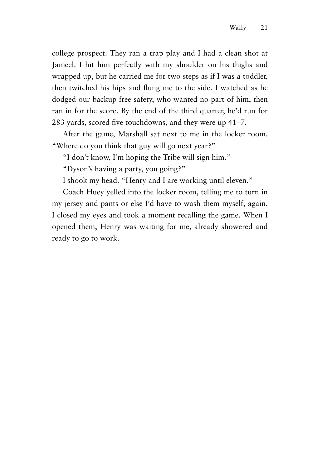college prospect. They ran a trap play and I had a clean shot at Jameel. I hit him perfectly with my shoulder on his thighs and wrapped up, but he carried me for two steps as if I was a toddler, then twitched his hips and flung me to the side. I watched as he dodged our backup free safety, who wanted no part of him, then ran in for the score. By the end of the third quarter, he'd run for 283 yards, scored five touchdowns, and they were up 41–7.

After the game, Marshall sat next to me in the locker room. "Where do you think that guy will go next year?"

"I don't know, I'm hoping the Tribe will sign him."

"Dyson's having a party, you going?"

I shook my head. "Henry and I are working until eleven."

Coach Huey yelled into the locker room, telling me to turn in my jersey and pants or else I'd have to wash them myself, again. I closed my eyes and took a moment recalling the game. When I opened them, Henry was waiting for me, already showered and ready to go to work.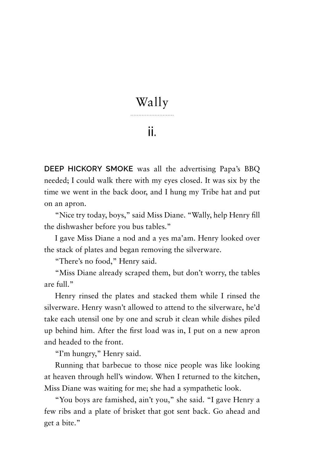#### Wally

#### ii.

**DEEP HICKORY SMOKE** was all the advertising Papa's BBQ needed; I could walk there with my eyes closed. It was six by the time we went in the back door, and I hung my Tribe hat and put on an apron.

"Nice try today, boys," said Miss Diane. "Wally, help Henry fill the dishwasher before you bus tables."

I gave Miss Diane a nod and a yes ma'am. Henry looked over the stack of plates and began removing the silverware.

"There's no food," Henry said.

"Miss Diane already scraped them, but don't worry, the tables are full."

Henry rinsed the plates and stacked them while I rinsed the silverware. Henry wasn't allowed to attend to the silverware, he'd take each utensil one by one and scrub it clean while dishes piled up behind him. After the first load was in, I put on a new apron and headed to the front.

"I'm hungry," Henry said.

Running that barbecue to those nice people was like looking at heaven through hell's window. When I returned to the kitchen, Miss Diane was waiting for me; she had a sympathetic look.

"You boys are famished, ain't you," she said. "I gave Henry a few ribs and a plate of brisket that got sent back. Go ahead and get a bite."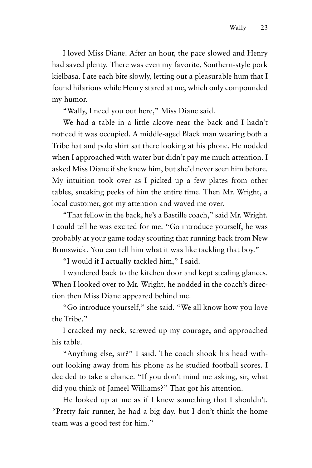I loved Miss Diane. After an hour, the pace slowed and Henry had saved plenty. There was even my favorite, Southern-style pork kielbasa. I ate each bite slowly, letting out a pleasurable hum that I found hilarious while Henry stared at me, which only compounded my humor.

"Wally, I need you out here," Miss Diane said.

We had a table in a little alcove near the back and I hadn't noticed it was occupied. A middle-aged Black man wearing both a Tribe hat and polo shirt sat there looking at his phone. He nodded when I approached with water but didn't pay me much attention. I asked Miss Diane if she knew him, but she'd never seen him before. My intuition took over as I picked up a few plates from other tables, sneaking peeks of him the entire time. Then Mr. Wright, a local customer, got my attention and waved me over.

"That fellow in the back, he's a Bastille coach," said Mr. Wright. I could tell he was excited for me. "Go introduce yourself, he was probably at your game today scouting that running back from New Brunswick. You can tell him what it was like tackling that boy."

"I would if I actually tackled him," I said.

I wandered back to the kitchen door and kept stealing glances. When I looked over to Mr. Wright, he nodded in the coach's direction then Miss Diane appeared behind me.

"Go introduce yourself," she said. "We all know how you love the Tribe."

I cracked my neck, screwed up my courage, and approached his table.

"Anything else, sir?" I said. The coach shook his head without looking away from his phone as he studied football scores. I decided to take a chance. "If you don't mind me asking, sir, what did you think of Jameel Williams?" That got his attention.

He looked up at me as if I knew something that I shouldn't. "Pretty fair runner, he had a big day, but I don't think the home team was a good test for him."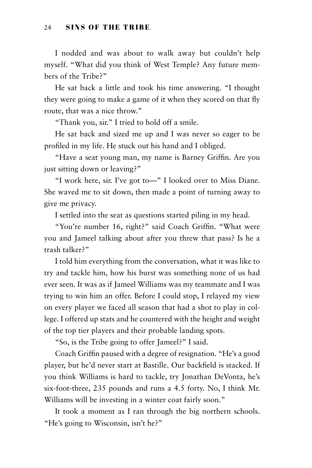#### 24 SINS OF THE TRIBE

I nodded and was about to walk away but couldn't help myself. "What did you think of West Temple? Any future members of the Tribe?"

He sat back a little and took his time answering. "I thought they were going to make a game of it when they scored on that fly route, that was a nice throw."

"Thank you, sir." I tried to hold off a smile.

He sat back and sized me up and I was never so eager to be profiled in my life. He stuck out his hand and I obliged.

"Have a seat young man, my name is Barney Griffin. Are you just sitting down or leaving?"

"I work here, sir. I've got to—" I looked over to Miss Diane. She waved me to sit down, then made a point of turning away to give me privacy.

I settled into the seat as questions started piling in my head.

"You're number 16, right?" said Coach Griffin. "What were you and Jameel talking about after you threw that pass? Is he a trash talker?"

I told him everything from the conversation, what it was like to try and tackle him, how his burst was something none of us had ever seen. It was as if Jameel Williams was my teammate and I was trying to win him an offer. Before I could stop, I relayed my view on every player we faced all season that had a shot to play in college. I offered up stats and he countered with the height and weight of the top tier players and their probable landing spots.

"So, is the Tribe going to offer Jameel?" I said.

Coach Griffin paused with a degree of resignation. "He's a good player, but he'd never start at Bastille. Our backfield is stacked. If you think Williams is hard to tackle, try Jonathan DeVonta, he's six-foot-three, 235 pounds and runs a 4.5 forty. No, I think Mr. Williams will be investing in a winter coat fairly soon."

It took a moment as I ran through the big northern schools. "He's going to Wisconsin, isn't he?"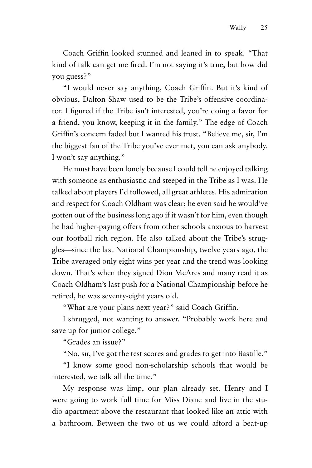Coach Griffin looked stunned and leaned in to speak. "That kind of talk can get me fired. I'm not saying it's true, but how did you guess?"

"I would never say anything, Coach Griffin. But it's kind of obvious, Dalton Shaw used to be the Tribe's offensive coordinator. I figured if the Tribe isn't interested, you're doing a favor for a friend, you know, keeping it in the family." The edge of Coach Griffin's concern faded but I wanted his trust. "Believe me, sir, I'm the biggest fan of the Tribe you've ever met, you can ask anybody. I won't say anything."

He must have been lonely because I could tell he enjoyed talking with someone as enthusiastic and steeped in the Tribe as I was. He talked about players I'd followed, all great athletes. His admiration and respect for Coach Oldham was clear; he even said he would've gotten out of the business long ago if it wasn't for him, even though he had higher-paying offers from other schools anxious to harvest our football rich region. He also talked about the Tribe's struggles—since the last National Championship, twelve years ago, the Tribe averaged only eight wins per year and the trend was looking down. That's when they signed Dion McAres and many read it as Coach Oldham's last push for a National Championship before he retired, he was seventy-eight years old.

"What are your plans next year?" said Coach Griffin.

I shrugged, not wanting to answer. "Probably work here and save up for junior college."

"Grades an issue?"

"No, sir, I've got the test scores and grades to get into Bastille."

"I know some good non-scholarship schools that would be interested, we talk all the time."

My response was limp, our plan already set. Henry and I were going to work full time for Miss Diane and live in the studio apartment above the restaurant that looked like an attic with a bathroom. Between the two of us we could afford a beat-up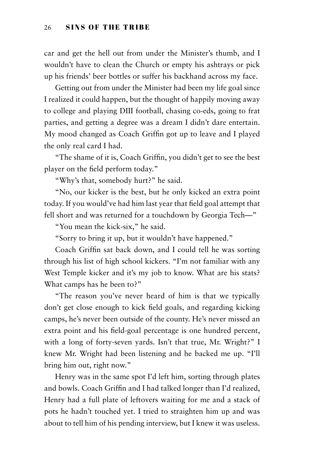car and get the hell out from under the Minister's thumb, and I wouldn't have to clean the Church or empty his ashtrays or pick up his friends' beer bottles or suffer his backhand across my face.

Getting out from under the Minister had been my life goal since I realized it could happen, but the thought of happily moving away to college and playing DIII football, chasing co-eds, going to frat parties, and getting a degree was a dream I didn't dare entertain. My mood changed as Coach Griffin got up to leave and I played the only real card I had.

"The shame of it is, Coach Griffin, you didn't get to see the best player on the field perform today."

"Why's that, somebody hurt?" he said.

"No, our kicker is the best, but he only kicked an extra point today. If you would've had him last year that field goal attempt that fell short and was returned for a touchdown by Georgia Tech—"

"You mean the kick-six," he said.

"Sorry to bring it up, but it wouldn't have happened."

Coach Griffin sat back down, and I could tell he was sorting through his list of high school kickers. "I'm not familiar with any West Temple kicker and it's my job to know. What are his stats? What camps has he been to?"

"The reason you've never heard of him is that we typically don't get close enough to kick field goals, and regarding kicking camps, he's never been outside of the county. He's never missed an extra point and his field-goal percentage is one hundred percent, with a long of forty-seven yards. Isn't that true, Mr. Wright?" I knew Mr. Wright had been listening and he backed me up. "I'll bring him out, right now."

Henry was in the same spot I'd left him, sorting through plates and bowls. Coach Griffin and I had talked longer than I'd realized, Henry had a full plate of leftovers waiting for me and a stack of pots he hadn't touched yet. I tried to straighten him up and was about to tell him of his pending interview, but I knew it was useless.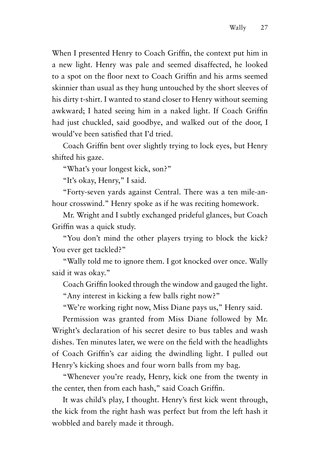When I presented Henry to Coach Griffin, the context put him in a new light. Henry was pale and seemed disaffected, he looked to a spot on the floor next to Coach Griffin and his arms seemed skinnier than usual as they hung untouched by the short sleeves of his dirty t-shirt. I wanted to stand closer to Henry without seeming awkward; I hated seeing him in a naked light. If Coach Griffin had just chuckled, said goodbye, and walked out of the door, I would've been satisfied that I'd tried.

Coach Griffin bent over slightly trying to lock eyes, but Henry shifted his gaze.

"What's your longest kick, son?"

"It's okay, Henry," I said.

"Forty-seven yards against Central. There was a ten mile-anhour crosswind." Henry spoke as if he was reciting homework.

Mr. Wright and I subtly exchanged prideful glances, but Coach Griffin was a quick study.

"You don't mind the other players trying to block the kick? You ever get tackled?"

"Wally told me to ignore them. I got knocked over once. Wally said it was okay."

Coach Griffin looked through the window and gauged the light.

"Any interest in kicking a few balls right now?"

"We're working right now, Miss Diane pays us," Henry said.

Permission was granted from Miss Diane followed by Mr. Wright's declaration of his secret desire to bus tables and wash dishes. Ten minutes later, we were on the field with the headlights of Coach Griffin's car aiding the dwindling light. I pulled out Henry's kicking shoes and four worn balls from my bag.

"Whenever you're ready, Henry, kick one from the twenty in the center, then from each hash," said Coach Griffin.

It was child's play, I thought. Henry's first kick went through, the kick from the right hash was perfect but from the left hash it wobbled and barely made it through.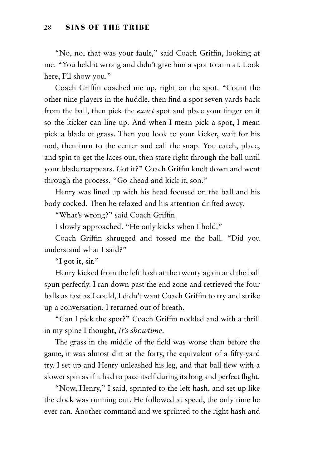"No, no, that was your fault," said Coach Griffin, looking at me. "You held it wrong and didn't give him a spot to aim at. Look here, I'll show you."

Coach Griffin coached me up, right on the spot. "Count the other nine players in the huddle, then find a spot seven yards back from the ball, then pick the *exact* spot and place your finger on it so the kicker can line up. And when I mean pick a spot, I mean pick a blade of grass. Then you look to your kicker, wait for his nod, then turn to the center and call the snap. You catch, place, and spin to get the laces out, then stare right through the ball until your blade reappears. Got it?" Coach Griffin knelt down and went through the process. "Go ahead and kick it, son."

Henry was lined up with his head focused on the ball and his body cocked. Then he relaxed and his attention drifted away.

"What's wrong?" said Coach Griffin.

I slowly approached. "He only kicks when I hold."

Coach Griffin shrugged and tossed me the ball. "Did you understand what I said?"

"I got it, sir."

Henry kicked from the left hash at the twenty again and the ball spun perfectly. I ran down past the end zone and retrieved the four balls as fast as I could, I didn't want Coach Griffin to try and strike up a conversation. I returned out of breath.

"Can I pick the spot?" Coach Griffin nodded and with a thrill in my spine I thought, *It's showtime*.

The grass in the middle of the field was worse than before the game, it was almost dirt at the forty, the equivalent of a fifty-yard try. I set up and Henry unleashed his leg, and that ball flew with a slower spin as if it had to pace itself during its long and perfect flight.

"Now, Henry," I said, sprinted to the left hash, and set up like the clock was running out. He followed at speed, the only time he ever ran. Another command and we sprinted to the right hash and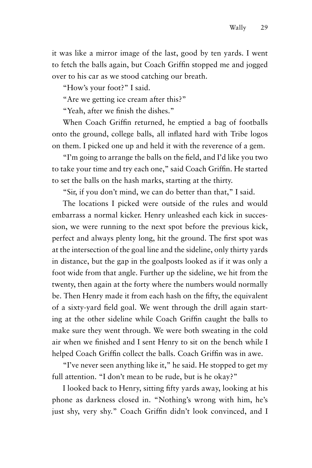it was like a mirror image of the last, good by ten yards. I went to fetch the balls again, but Coach Griffin stopped me and jogged over to his car as we stood catching our breath.

"How's your foot?" I said.

"Are we getting ice cream after this?"

"Yeah, after we finish the dishes."

When Coach Griffin returned, he emptied a bag of footballs onto the ground, college balls, all inflated hard with Tribe logos on them. I picked one up and held it with the reverence of a gem.

"I'm going to arrange the balls on the field, and I'd like you two to take your time and try each one," said Coach Griffin. He started to set the balls on the hash marks, starting at the thirty.

"Sir, if you don't mind, we can do better than that," I said.

The locations I picked were outside of the rules and would embarrass a normal kicker. Henry unleashed each kick in succession, we were running to the next spot before the previous kick, perfect and always plenty long, hit the ground. The first spot was at the intersection of the goal line and the sideline, only thirty yards in distance, but the gap in the goalposts looked as if it was only a foot wide from that angle. Further up the sideline, we hit from the twenty, then again at the forty where the numbers would normally be. Then Henry made it from each hash on the fifty, the equivalent of a sixty-yard field goal. We went through the drill again starting at the other sideline while Coach Griffin caught the balls to make sure they went through. We were both sweating in the cold air when we finished and I sent Henry to sit on the bench while I helped Coach Griffin collect the balls. Coach Griffin was in awe.

"I've never seen anything like it," he said. He stopped to get my full attention. "I don't mean to be rude, but is he okay?"

I looked back to Henry, sitting fifty yards away, looking at his phone as darkness closed in. "Nothing's wrong with him, he's just shy, very shy." Coach Griffin didn't look convinced, and I